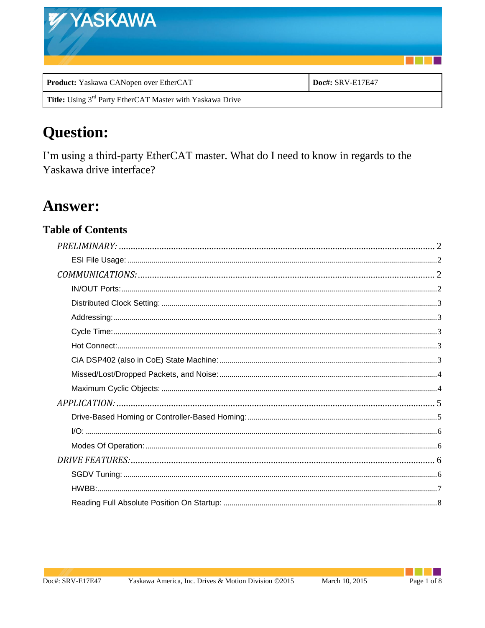| <b>WYASKAWA</b>                        |                  |
|----------------------------------------|------------------|
|                                        |                  |
| Product: Yaskawa CANopen over EtherCAT | Doc#: SRV-E17E47 |

## Title: Using  $3^{\rm rd}$  Party EtherCAT Master with Yaskawa Drive

# **Question:**

I'm using a third-party EtherCAT master. What do I need to know in regards to the Yaskawa drive interface?

## **Answer:**

## **Table of Contents**

٠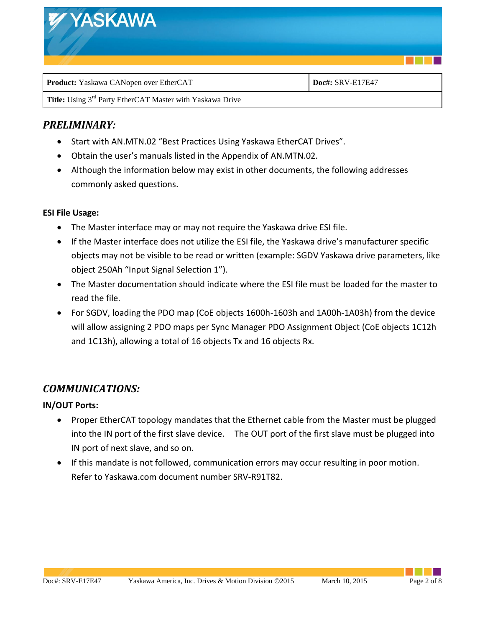

## <span id="page-1-0"></span>*PRELIMINARY:*

- Start with AN.MTN.02 "Best Practices Using Yaskawa EtherCAT Drives".
- Obtain the user's manuals listed in the Appendix of AN.MTN.02.
- Although the information below may exist in other documents, the following addresses commonly asked questions.

#### <span id="page-1-1"></span>**ESI File Usage:**

- The Master interface may or may not require the Yaskawa drive ESI file.
- If the Master interface does not utilize the ESI file, the Yaskawa drive's manufacturer specific objects may not be visible to be read or written (example: SGDV Yaskawa drive parameters, like object 250Ah "Input Signal Selection 1").
- The Master documentation should indicate where the ESI file must be loaded for the master to read the file.
- For SGDV, loading the PDO map (CoE objects 1600h-1603h and 1A00h-1A03h) from the device will allow assigning 2 PDO maps per Sync Manager PDO Assignment Object (CoE objects 1C12h and 1C13h), allowing a total of 16 objects Tx and 16 objects Rx.

## <span id="page-1-2"></span>*COMMUNICATIONS:*

#### <span id="page-1-3"></span>**IN/OUT Ports:**

- Proper EtherCAT topology mandates that the Ethernet cable from the Master must be plugged into the IN port of the first slave device. The OUT port of the first slave must be plugged into IN port of next slave, and so on.
- If this mandate is not followed, communication errors may occur resulting in poor motion. Refer to Yaskawa.com document number SRV-R91T82.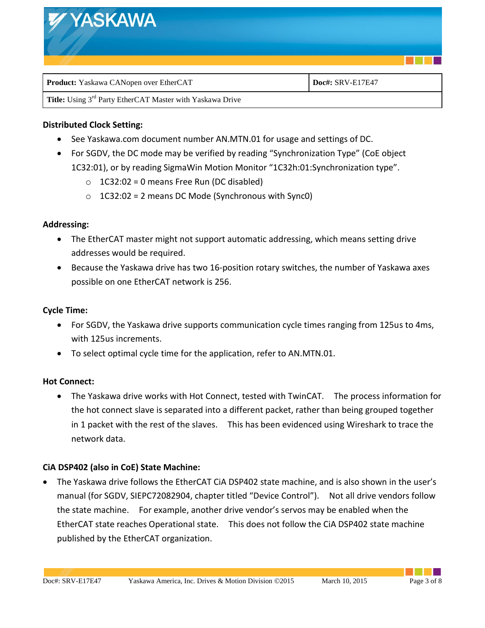

#### <span id="page-2-0"></span>**Distributed Clock Setting:**

- See Yaskawa.com document number AN.MTN.01 for usage and settings of DC.
- For SGDV, the DC mode may be verified by reading "Synchronization Type" (CoE object 1C32:01), or by reading SigmaWin Motion Monitor "1C32h:01:Synchronization type".
	- $\circ$  1C32:02 = 0 means Free Run (DC disabled)
	- $\circ$  1C32:02 = 2 means DC Mode (Synchronous with Sync0)

#### <span id="page-2-1"></span>**Addressing:**

- The EtherCAT master might not support automatic addressing, which means setting drive addresses would be required.
- Because the Yaskawa drive has two 16-position rotary switches, the number of Yaskawa axes possible on one EtherCAT network is 256.

#### <span id="page-2-2"></span>**Cycle Time:**

- For SGDV, the Yaskawa drive supports communication cycle times ranging from 125us to 4ms, with 125us increments.
- To select optimal cycle time for the application, refer to AN.MTN.01.

#### <span id="page-2-3"></span>**Hot Connect:**

 The Yaskawa drive works with Hot Connect, tested with TwinCAT. The process information for the hot connect slave is separated into a different packet, rather than being grouped together in 1 packet with the rest of the slaves. This has been evidenced using Wireshark to trace the network data.

#### <span id="page-2-4"></span>**CiA DSP402 (also in CoE) State Machine:**

 The Yaskawa drive follows the EtherCAT CiA DSP402 state machine, and is also shown in the user's manual (for SGDV, SIEPC72082904, chapter titled "Device Control"). Not all drive vendors follow the state machine. For example, another drive vendor's servos may be enabled when the EtherCAT state reaches Operational state. This does not follow the CiA DSP402 state machine published by the EtherCAT organization.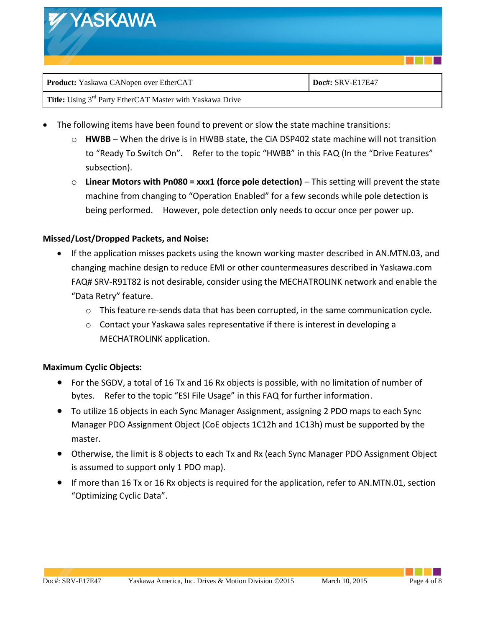| <b>WYASKAWA</b>                        |                  |  |
|----------------------------------------|------------------|--|
| Product: Yaskawa CANopen over EtherCAT | Doc#: SRV-E17E47 |  |

- The following items have been found to prevent or slow the state machine transitions:
	- o **HWBB** When the drive is in HWBB state, the CiA DSP402 state machine will not transition to "Ready To Switch On". Refer to the topic "HWBB" in this FAQ (In the "Drive Features" subsection).
	- o **Linear Motors with Pn080 = xxx1 (force pole detection)**  This setting will prevent the state machine from changing to "Operation Enabled" for a few seconds while pole detection is being performed. However, pole detection only needs to occur once per power up.

#### <span id="page-3-0"></span>**Missed/Lost/Dropped Packets, and Noise:**

- If the application misses packets using the known working master described in AN.MTN.03, and changing machine design to reduce EMI or other countermeasures described in Yaskawa.com FAQ# SRV-R91T82 is not desirable, consider using the MECHATROLINK network and enable the "Data Retry" feature.
	- o This feature re-sends data that has been corrupted, in the same communication cycle.
	- $\circ$  Contact your Yaskawa sales representative if there is interest in developing a MECHATROLINK application.

#### <span id="page-3-1"></span>**Maximum Cyclic Objects:**

- For the SGDV, a total of 16 Tx and 16 Rx objects is possible, with no limitation of number of bytes. Refer to the topic "ESI File Usage" in this FAQ for further information.
- To utilize 16 objects in each Sync Manager Assignment, assigning 2 PDO maps to each Sync Manager PDO Assignment Object (CoE objects 1C12h and 1C13h) must be supported by the master.
- Otherwise, the limit is 8 objects to each Tx and Rx (each Sync Manager PDO Assignment Object is assumed to support only 1 PDO map).
- If more than 16 Tx or 16 Rx objects is required for the application, refer to AN.MTN.01, section "Optimizing Cyclic Data".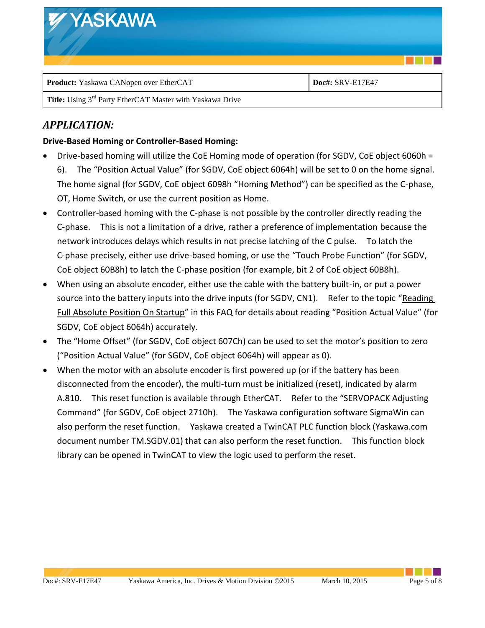| <b>WYASKAWA</b>                        |                  |
|----------------------------------------|------------------|
| Product: Yaskawa CANopen over EtherCAT | Doc#: SRV-E17E47 |

## <span id="page-4-0"></span>*APPLICATION:*

#### <span id="page-4-1"></span>**Drive-Based Homing or Controller-Based Homing:**

- Drive-based homing will utilize the CoE Homing mode of operation (for SGDV, CoE object 6060h = 6). The "Position Actual Value" (for SGDV, CoE object 6064h) will be set to 0 on the home signal. The home signal (for SGDV, CoE object 6098h "Homing Method") can be specified as the C-phase, OT, Home Switch, or use the current position as Home.
- Controller-based homing with the C-phase is not possible by the controller directly reading the C-phase. This is not a limitation of a drive, rather a preference of implementation because the network introduces delays which results in not precise latching of the C pulse. To latch the C-phase precisely, either use drive-based homing, or use the "Touch Probe Function" (for SGDV, CoE object 60B8h) to latch the C-phase position (for example, bit 2 of CoE object 60B8h).
- When using an absolute encoder, either use the cable with the battery built-in, or put a power source into the battery inputs into the drive inputs (for SGDV, CN1). Refer to the topic "Reading Full Absolute Position On Startup" in this FAQ for details about reading "Position Actual Value" (for SGDV, CoE object 6064h) accurately.
- The "Home Offset" (for SGDV, CoE object 607Ch) can be used to set the motor's position to zero ("Position Actual Value" (for SGDV, CoE object 6064h) will appear as 0).
- When the motor with an absolute encoder is first powered up (or if the battery has been disconnected from the encoder), the multi-turn must be initialized (reset), indicated by alarm A.810. This reset function is available through EtherCAT. Refer to the "SERVOPACK Adjusting Command" (for SGDV, CoE object 2710h). The Yaskawa configuration software SigmaWin can also perform the reset function. Yaskawa created a TwinCAT PLC function block (Yaskawa.com document number TM.SGDV.01) that can also perform the reset function. This function block library can be opened in TwinCAT to view the logic used to perform the reset.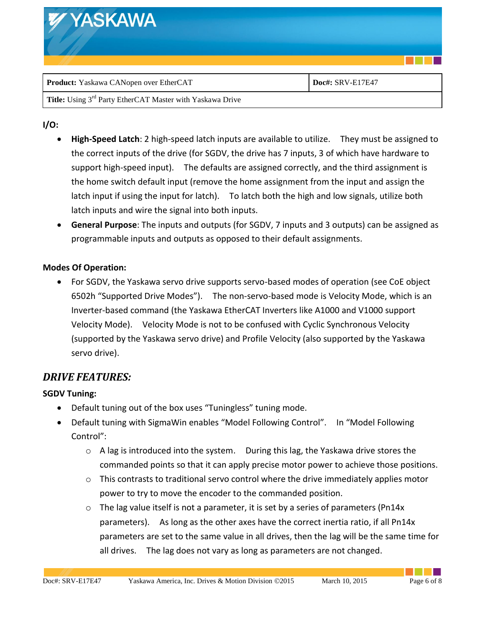| <b>WYASKAWA</b>                        |                  |
|----------------------------------------|------------------|
| Product: Yaskawa CANopen over EtherCAT | Doc#: SRV-E17E47 |

#### <span id="page-5-0"></span>**I/O:**

- **High-Speed Latch**: 2 high-speed latch inputs are available to utilize. They must be assigned to the correct inputs of the drive (for SGDV, the drive has 7 inputs, 3 of which have hardware to support high-speed input). The defaults are assigned correctly, and the third assignment is the home switch default input (remove the home assignment from the input and assign the latch input if using the input for latch). To latch both the high and low signals, utilize both latch inputs and wire the signal into both inputs.
- **General Purpose**: The inputs and outputs (for SGDV, 7 inputs and 3 outputs) can be assigned as programmable inputs and outputs as opposed to their default assignments.

#### <span id="page-5-1"></span>**Modes Of Operation:**

 For SGDV, the Yaskawa servo drive supports servo-based modes of operation (see CoE object 6502h "Supported Drive Modes"). The non-servo-based mode is Velocity Mode, which is an Inverter-based command (the Yaskawa EtherCAT Inverters like A1000 and V1000 support Velocity Mode). Velocity Mode is not to be confused with Cyclic Synchronous Velocity (supported by the Yaskawa servo drive) and Profile Velocity (also supported by the Yaskawa servo drive).

### <span id="page-5-2"></span>*DRIVE FEATURES:*

#### <span id="page-5-3"></span>**SGDV Tuning:**

- Default tuning out of the box uses "Tuningless" tuning mode.
- Default tuning with SigmaWin enables "Model Following Control". In "Model Following Control":
	- $\circ$  A lag is introduced into the system. During this lag, the Yaskawa drive stores the commanded points so that it can apply precise motor power to achieve those positions.
	- $\circ$  This contrasts to traditional servo control where the drive immediately applies motor power to try to move the encoder to the commanded position.
	- $\circ$  The lag value itself is not a parameter, it is set by a series of parameters (Pn14x) parameters). As long as the other axes have the correct inertia ratio, if all Pn14x parameters are set to the same value in all drives, then the lag will be the same time for all drives. The lag does not vary as long as parameters are not changed.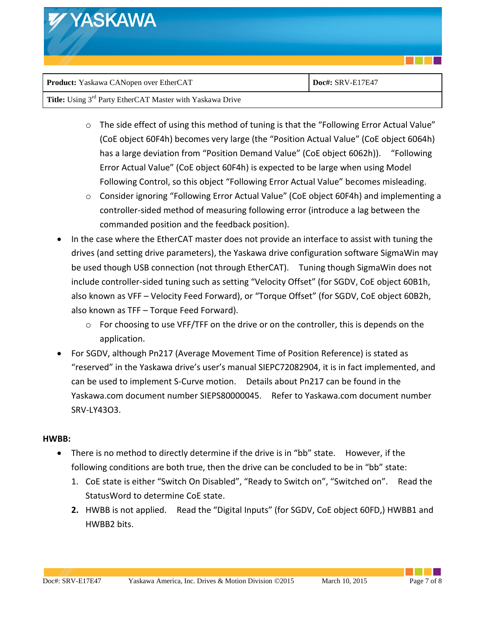| <b>WYASKAWA</b>                        |                  |
|----------------------------------------|------------------|
| Product: Yaskawa CANopen over EtherCAT | Doc#: SRV-E17E47 |

| Title: Using 3 <sup>rd</sup> Party EtherCAT Master with Yaskawa Drive |  |
|-----------------------------------------------------------------------|--|
|                                                                       |  |

- o The side effect of using this method of tuning is that the "Following Error Actual Value" (CoE object 60F4h) becomes very large (the "Position Actual Value" (CoE object 6064h) has a large deviation from "Position Demand Value" (CoE object 6062h)). "Following Error Actual Value" (CoE object 60F4h) is expected to be large when using Model Following Control, so this object "Following Error Actual Value" becomes misleading.
- o Consider ignoring "Following Error Actual Value" (CoE object 60F4h) and implementing a controller-sided method of measuring following error (introduce a lag between the commanded position and the feedback position).
- In the case where the EtherCAT master does not provide an interface to assist with tuning the drives (and setting drive parameters), the Yaskawa drive configuration software SigmaWin may be used though USB connection (not through EtherCAT). Tuning though SigmaWin does not include controller-sided tuning such as setting "Velocity Offset" (for SGDV, CoE object 60B1h, also known as VFF – Velocity Feed Forward), or "Torque Offset" (for SGDV, CoE object 60B2h, also known as TFF – Torque Feed Forward).
	- $\circ$  For choosing to use VFF/TFF on the drive or on the controller, this is depends on the application.
- For SGDV, although Pn217 (Average Movement Time of Position Reference) is stated as "reserved" in the Yaskawa drive's user's manual SIEPC72082904, it is in fact implemented, and can be used to implement S-Curve motion. Details about Pn217 can be found in the Yaskawa.com document number SIEPS80000045. Refer to Yaskawa.com document number SRV-LY43O3.

#### <span id="page-6-0"></span>**HWBB:**

- There is no method to directly determine if the drive is in "bb" state. However, if the following conditions are both true, then the drive can be concluded to be in "bb" state:
	- 1. CoE state is either "Switch On Disabled", "Ready to Switch on", "Switched on". Read the StatusWord to determine CoE state.
	- **2.** HWBB is not applied. Read the "Digital Inputs" (for SGDV, CoE object 60FD,) HWBB1 and HWBB2 bits.